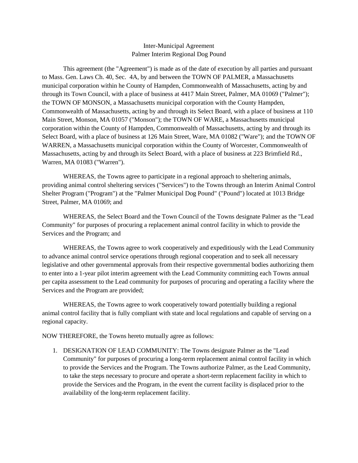## Inter-Municipal Agreement Palmer Interim Regional Dog Pound

This agreement (the "Agreement") is made as of the date of execution by all parties and pursuant to Mass. Gen. Laws Ch. 40, Sec. 4A, by and between the TOWN OF PALMER, a Massachusetts municipal corporation within he County of Hampden, Commonwealth of Massachusetts, acting by and through its Town Council, with a place of business at 4417 Main Street, Palmer, MA 01069 ("Palmer"); the TOWN OF MONSON, a Massachusetts municipal corporation with the County Hampden, Commonwealth of Massachusetts, acting by and through its Select Board, with a place of business at 110 Main Street, Monson, MA 01057 ("Monson"); the TOWN OF WARE, a Massachusetts municipal corporation within the County of Hampden, Commonwealth of Massachusetts, acting by and through its Select Board, with a place of business at 126 Main Street, Ware, MA 01082 ("Ware"); and the TOWN OF WARREN, a Massachusetts municipal corporation within the County of Worcester, Commonwealth of Massachusetts, acting by and through its Select Board, with a place of business at 223 Brimfield Rd., Warren, MA 01083 ("Warren").

WHEREAS, the Towns agree to participate in a regional approach to sheltering animals, providing animal control sheltering services ("Services") to the Towns through an Interim Animal Control Shelter Program ("Program") at the "Palmer Municipal Dog Pound" ("Pound") located at 1013 Bridge Street, Palmer, MA 01069; and

WHEREAS, the Select Board and the Town Council of the Towns designate Palmer as the "Lead Community" for purposes of procuring a replacement animal control facility in which to provide the Services and the Program; and

WHEREAS, the Towns agree to work cooperatively and expeditiously with the Lead Community to advance animal control service operations through regional cooperation and to seek all necessary legislative and other governmental approvals from their respective governmental bodies authorizing them to enter into a 1-year pilot interim agreement with the Lead Community committing each Towns annual per capita assessment to the Lead community for purposes of procuring and operating a facility where the Services and the Program are provided;

WHEREAS, the Towns agree to work cooperatively toward potentially building a regional animal control facility that is fully compliant with state and local regulations and capable of serving on a regional capacity.

NOW THEREFORE, the Towns hereto mutually agree as follows:

1. DESIGNATION OF LEAD COMMUNITY: The Towns designate Palmer as the "Lead Community" for purposes of procuring a long-term replacement animal control facility in which to provide the Services and the Program. The Towns authorize Palmer, as the Lead Community, to take the steps necessary to procure and operate a short-term replacement facility in which to provide the Services and the Program, in the event the current facility is displaced prior to the availability of the long-term replacement facility.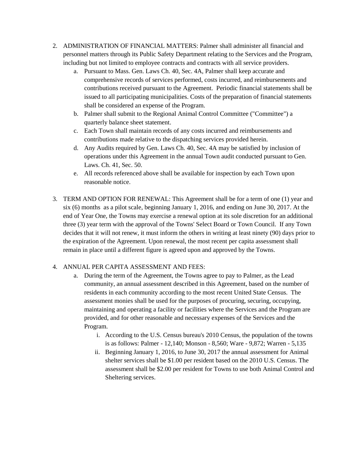- 2. ADMINISTRATION OF FINANCIAL MATTERS: Palmer shall administer all financial and personnel matters through its Public Safety Department relating to the Services and the Program, including but not limited to employee contracts and contracts with all service providers.
	- a. Pursuant to Mass. Gen. Laws Ch. 40, Sec. 4A, Palmer shall keep accurate and comprehensive records of services performed, costs incurred, and reimbursements and contributions received pursuant to the Agreement. Periodic financial statements shall be issued to all participating municipalities. Costs of the preparation of financial statements shall be considered an expense of the Program.
	- b. Palmer shall submit to the Regional Animal Control Committee ("Committee") a quarterly balance sheet statement.
	- c. Each Town shall maintain records of any costs incurred and reimbursements and contributions made relative to the dispatching services provided herein.
	- d. Any Audits required by Gen. Laws Ch. 40, Sec. 4A may be satisfied by inclusion of operations under this Agreement in the annual Town audit conducted pursuant to Gen. Laws. Ch. 41, Sec. 50.
	- e. All records referenced above shall be available for inspection by each Town upon reasonable notice.
- 3. TERM AND OPTION FOR RENEWAL: This Agreement shall be for a term of one (1) year and six (6) months as a pilot scale, beginning January 1, 2016, and ending on June 30, 2017. At the end of Year One, the Towns may exercise a renewal option at its sole discretion for an additional three (3) year term with the approval of the Towns' Select Board or Town Council. If any Town decides that it will not renew, it must inform the others in writing at least ninety (90) days prior to the expiration of the Agreement. Upon renewal, the most recent per capita assessment shall remain in place until a different figure is agreed upon and approved by the Towns.

# 4. ANNUAL PER CAPITA ASSESSMENT AND FEES:

- a. During the term of the Agreement, the Towns agree to pay to Palmer, as the Lead community, an annual assessment described in this Agreement, based on the number of residents in each community according to the most recent United State Census. The assessment monies shall be used for the purposes of procuring, securing, occupying, maintaining and operating a facility or facilities where the Services and the Program are provided, and for other reasonable and necessary expenses of the Services and the Program.
	- i. According to the U.S. Census bureau's 2010 Census, the population of the towns is as follows: Palmer - 12,140; Monson - 8,560; Ware - 9,872; Warren - 5,135
	- ii. Beginning January 1, 2016, to June 30, 2017 the annual assessment for Animal shelter services shall be \$1.00 per resident based on the 2010 U.S. Census. The assessment shall be \$2.00 per resident for Towns to use both Animal Control and Sheltering services.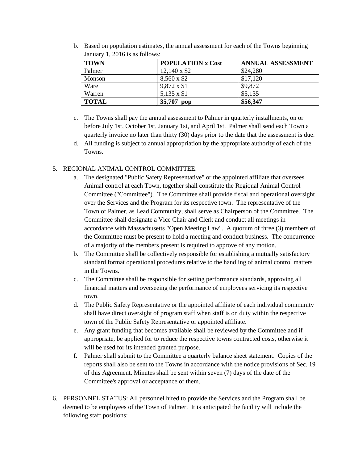| <b>TOWN</b>  | <b>POPULATION x Cost</b> | <b>ANNUAL ASSESSMENT</b> |  |
|--------------|--------------------------|--------------------------|--|
| Palmer       | $12,140 \times $2$       | \$24,280                 |  |
| Monson       | 8,560 x \$2              | \$17,120                 |  |
| Ware         | 9,872 x \$1              | \$9,872                  |  |
| Warren       | 5,135 x \$1              | \$5,135                  |  |
| <b>TOTAL</b> | 35,707 pop               | \$56,347                 |  |

b. Based on population estimates, the annual assessment for each of the Towns beginning January 1, 2016 is as follows:

- c. The Towns shall pay the annual assessment to Palmer in quarterly installments, on or before July 1st, October 1st, January 1st, and April 1st. Palmer shall send each Town a quarterly invoice no later than thirty (30) days prior to the date that the assessment is due.
- d. All funding is subject to annual appropriation by the appropriate authority of each of the Towns.

# 5. REGIONAL ANIMAL CONTROL COMMITTEE:

- a. The designated "Public Safety Representative" or the appointed affiliate that oversees Animal control at each Town, together shall constitute the Regional Animal Control Committee ("Committee"). The Committee shall provide fiscal and operational oversight over the Services and the Program for its respective town. The representative of the Town of Palmer, as Lead Community, shall serve as Chairperson of the Committee. The Committee shall designate a Vice Chair and Clerk and conduct all meetings in accordance with Massachusetts "Open Meeting Law". A quorum of three (3) members of the Committee must be present to hold a meeting and conduct business. The concurrence of a majority of the members present is required to approve of any motion.
- b. The Committee shall be collectively responsible for establishing a mutually satisfactory standard format operational procedures relative to the handling of animal control matters in the Towns.
- c. The Committee shall be responsible for setting performance standards, approving all financial matters and overseeing the performance of employees servicing its respective town.
- d. The Public Safety Representative or the appointed affiliate of each individual community shall have direct oversight of program staff when staff is on duty within the respective town of the Public Safety Representative or appointed affiliate.
- e. Any grant funding that becomes available shall be reviewed by the Committee and if appropriate, be applied for to reduce the respective towns contracted costs, otherwise it will be used for its intended granted purpose.
- f. Palmer shall submit to the Committee a quarterly balance sheet statement. Copies of the reports shall also be sent to the Towns in accordance with the notice provisions of Sec. 19 of this Agreement. Minutes shall be sent within seven (7) days of the date of the Committee's approval or acceptance of them.
- 6. PERSONNEL STATUS: All personnel hired to provide the Services and the Program shall be deemed to be employees of the Town of Palmer. It is anticipated the facility will include the following staff positions: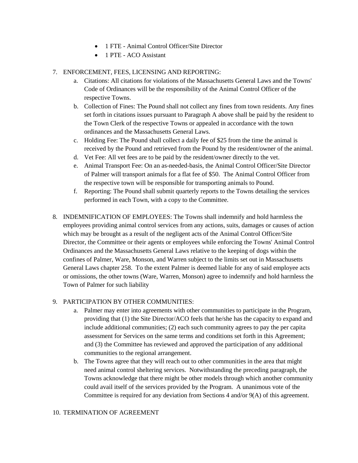- 1 FTE Animal Control Officer/Site Director
- 1 PTE ACO Assistant

#### 7. ENFORCEMENT, FEES, LICENSING AND REPORTING:

- a. Citations: All citations for violations of the Massachusetts General Laws and the Towns' Code of Ordinances will be the responsibility of the Animal Control Officer of the respective Towns.
- b. Collection of Fines: The Pound shall not collect any fines from town residents. Any fines set forth in citations issues pursuant to Paragraph A above shall be paid by the resident to the Town Clerk of the respective Towns or appealed in accordance with the town ordinances and the Massachusetts General Laws.
- c. Holding Fee: The Pound shall collect a daily fee of \$25 from the time the animal is received by the Pound and retrieved from the Pound by the resident/owner of the animal.
- d. Vet Fee: All vet fees are to be paid by the resident/owner directly to the vet.
- e. Animal Transport Fee: On an as-needed-basis, the Animal Control Officer/Site Director of Palmer will transport animals for a flat fee of \$50. The Animal Control Officer from the respective town will be responsible for transporting animals to Pound.
- f. Reporting: The Pound shall submit quarterly reports to the Towns detailing the services performed in each Town, with a copy to the Committee.
- 8. INDEMNIFICATION OF EMPLOYEES: The Towns shall indemnify and hold harmless the employees providing animal control services from any actions, suits, damages or causes of action which may be brought as a result of the negligent acts of the Animal Control Officer/Site Director, the Committee or their agents or employees while enforcing the Towns' Animal Control Ordinances and the Massachusetts General Laws relative to the keeping of dogs within the confines of Palmer, Ware, Monson, and Warren subject to the limits set out in Massachusetts General Laws chapter 258. To the extent Palmer is deemed liable for any of said employee acts or omissions, the other towns (Ware, Warren, Monson) agree to indemnify and hold harmless the Town of Palmer for such liability

## 9. PARTICIPATION BY OTHER COMMUNITIES:

- a. Palmer may enter into agreements with other communities to participate in the Program, providing that (1) the Site Director/ACO feels that he/she has the capacity to expand and include additional communities; (2) each such community agrees to pay the per capita assessment for Services on the same terms and conditions set forth in this Agreement; and (3) the Committee has reviewed and approved the participation of any additional communities to the regional arrangement.
- b. The Towns agree that they will reach out to other communities in the area that might need animal control sheltering services. Notwithstanding the preceding paragraph, the Towns acknowledge that there might be other models through which another community could avail itself of the services provided by the Program. A unanimous vote of the Committee is required for any deviation from Sections 4 and/or 9(A) of this agreement.

#### 10. TERMINATION OF AGREEMENT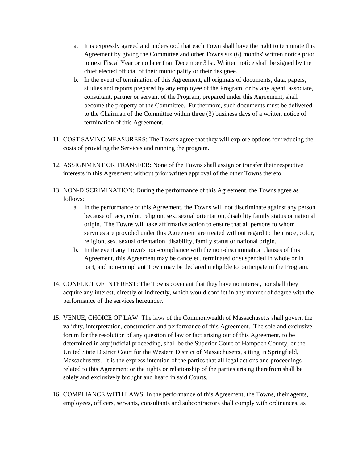- a. It is expressly agreed and understood that each Town shall have the right to terminate this Agreement by giving the Committee and other Towns six (6) months' written notice prior to next Fiscal Year or no later than December 31st. Written notice shall be signed by the chief elected official of their municipality or their designee.
- b. In the event of termination of this Agreement, all originals of documents, data, papers, studies and reports prepared by any employee of the Program, or by any agent, associate, consultant, partner or servant of the Program, prepared under this Agreement, shall become the property of the Committee. Furthermore, such documents must be delivered to the Chairman of the Committee within three (3) business days of a written notice of termination of this Agreement.
- 11. COST SAVING MEASURERS: The Towns agree that they will explore options for reducing the costs of providing the Services and running the program.
- 12. ASSIGNMENT OR TRANSFER: None of the Towns shall assign or transfer their respective interests in this Agreement without prior written approval of the other Towns thereto.
- 13. NON-DISCRIMINATION: During the performance of this Agreement, the Towns agree as follows:
	- a. In the performance of this Agreement, the Towns will not discriminate against any person because of race, color, religion, sex, sexual orientation, disability family status or national origin. The Towns will take affirmative action to ensure that all persons to whom services are provided under this Agreement are treated without regard to their race, color, religion, sex, sexual orientation, disability, family status or national origin.
	- b. In the event any Town's non-compliance with the non-discrimination clauses of this Agreement, this Agreement may be canceled, terminated or suspended in whole or in part, and non-compliant Town may be declared ineligible to participate in the Program.
- 14. CONFLICT OF INTEREST: The Towns covenant that they have no interest, nor shall they acquire any interest, directly or indirectly, which would conflict in any manner of degree with the performance of the services hereunder.
- 15. VENUE, CHOICE OF LAW: The laws of the Commonwealth of Massachusetts shall govern the validity, interpretation, construction and performance of this Agreement. The sole and exclusive forum for the resolution of any question of law or fact arising out of this Agreement, to be determined in any judicial proceeding, shall be the Superior Court of Hampden County, or the United State District Court for the Western District of Massachusetts, sitting in Springfield, Massachusetts. It is the express intention of the parties that all legal actions and proceedings related to this Agreement or the rights or relationship of the parties arising therefrom shall be solely and exclusively brought and heard in said Courts.
- 16. COMPLIANCE WITH LAWS: In the performance of this Agreement, the Towns, their agents, employees, officers, servants, consultants and subcontractors shall comply with ordinances, as